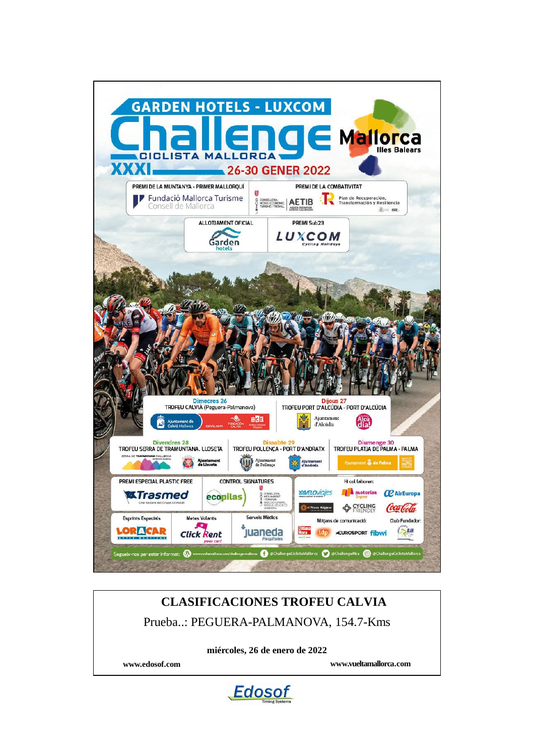

# **CLASIFICACIONES TROFEU CALVIA** Prueba..: PEGUERA-PALMANOVA, 154.7-Kms

**miércoles, 26 de enero de 2022**

**www.edosof.com www.vueltamallorca.com**

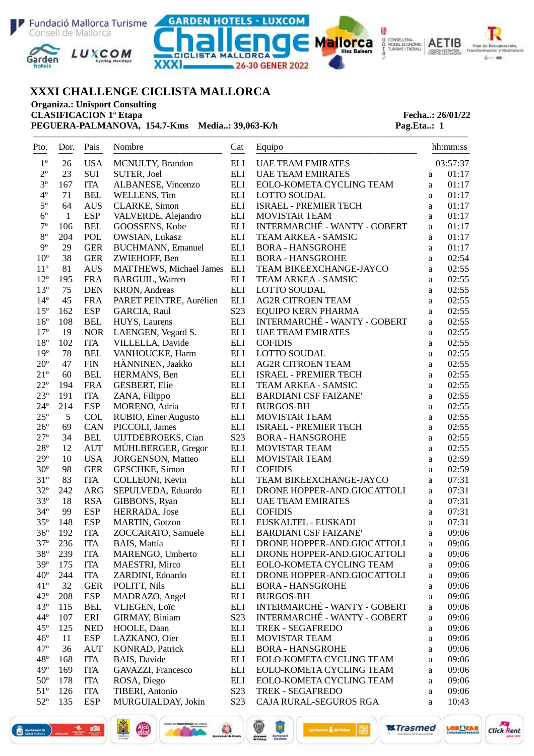





———————————————————————————————————————————————



# **XXXI CHALLENGE CICLISTA MALLORCA**

**Organiza.: Unisport Consulting**

**PEGUERA-PALMANOVA, 154.7-Kms Media..: 39,063-K/h Pag.Eta..: 1** 

# **CLASIFICACION 1ª Etapa Fecha..: 26/01/22**

| Pto.                         | Dor.         | Pais        | Nombre                          | Cat                | Equipo                       |                          | hh:mm:ss |
|------------------------------|--------------|-------------|---------------------------------|--------------------|------------------------------|--------------------------|----------|
| $1^{\circ}$                  | ---<br>26    | <b>USA</b>  | MCNULTY, Brandon                | <b>ELI</b>         | <b>UAE TEAM EMIRATES</b>     |                          | 03:57:37 |
| $2^{\rm o}$                  | 23           | SUI         | SUTER, Joel                     | <b>ELI</b>         | <b>UAE TEAM EMIRATES</b>     | $\mathbf{a}$             | 01:17    |
| $3^{\circ}$                  | 167          | <b>ITA</b>  | ALBANESE, Vincenzo              | ELI                | EOLO-KOMETA CYCLING TEAM     | $\mathbf{a}$             | 01:17    |
| $4^{\circ}$                  | 71           | <b>BEL</b>  | WELLENS, Tim                    | ELI                | <b>LOTTO SOUDAL</b>          | a                        | 01:17    |
| $5^{\circ}$                  | 64           | <b>AUS</b>  | <b>CLARKE, Simon</b>            | ELI                | <b>ISRAEL - PREMIER TECH</b> | a                        | 01:17    |
| $6^{\circ}$                  | $\mathbf{1}$ | <b>ESP</b>  | VALVERDE, Alejandro             | ELI                | MOVISTAR TEAM                | a                        | 01:17    |
| $7^{\circ}$                  | 106          | <b>BEL</b>  | GOOSSENS, Kobe                  | <b>ELI</b>         | INTERMARCHÉ - WANTY - GOBERT | a                        | 01:17    |
| $8^{\circ}$                  | 204          | POL         | OWSIAN, Lukasz                  | <b>ELI</b>         | TEAM ARKEA - SAMSIC          | a                        | 01:17    |
| $9^{\circ}$                  | 29           | <b>GER</b>  | <b>BUCHMANN</b> , Emanuel       | ELI                | <b>BORA - HANSGROHE</b>      | a                        | 01:17    |
| $10^{\circ}$                 | 38           | <b>GER</b>  | ZWIEHOFF, Ben                   | <b>ELI</b>         | <b>BORA - HANSGROHE</b>      | a                        | 02:54    |
| $11^{\circ}$                 | 81           | <b>AUS</b>  | <b>MATTHEWS</b> , Michael James | $\mathop{\rm ELI}$ | TEAM BIKEEXCHANGE-JAYCO      | a                        | 02:55    |
| $12^{\circ}$                 | 195          | <b>FRA</b>  | <b>BARGUIL, Warren</b>          | <b>ELI</b>         | <b>TEAM ARKEA - SAMSIC</b>   | a                        | 02:55    |
| $13^{\circ}$                 | 75           | <b>DEN</b>  | KRON, Andreas                   | ELI                | <b>LOTTO SOUDAL</b>          | a                        | 02:55    |
| $14^{\circ}$                 | 45           | <b>FRA</b>  | PARET PEINTRE, Aurélien         | ELI                | <b>AG2R CITROEN TEAM</b>     | a                        | 02:55    |
| $15^{\circ}$                 | 162          | <b>ESP</b>  | GARCIA, Raul                    | S23                | <b>EQUIPO KERN PHARMA</b>    | a                        | 02:55    |
| $16^{\circ}$                 | 108          | <b>BEL</b>  | HUYS, Laurens                   | ELI                | INTERMARCHÉ - WANTY - GOBERT | a                        | 02:55    |
| $17^{\circ}$                 | 19           | <b>NOR</b>  | LAENGEN, Vegard S.              | $\mathop{\rm ELI}$ | <b>UAE TEAM EMIRATES</b>     | a                        | 02:55    |
| $18^{\circ}$                 | 102          | <b>ITA</b>  | VILLELLA, Davide                | $\mathop{\rm ELI}$ | <b>COFIDIS</b>               | a                        | 02:55    |
| $19^{\circ}$                 | 78           | <b>BEL</b>  | VANHOUCKE, Harm                 | $\mathop{\rm ELI}$ | <b>LOTTO SOUDAL</b>          | $\rm{a}$                 | 02:55    |
| $20^{\circ}$                 | 47           | ${\rm FIN}$ | HÄNNINEN, Jaakko                | $\mathop{\rm ELI}$ | <b>AG2R CITROEN TEAM</b>     | a                        | 02:55    |
| $21^{\circ}$                 | 60           | <b>BEL</b>  | HERMANS, Ben                    | ELI                | <b>ISRAEL - PREMIER TECH</b> | a                        | 02:55    |
| $22^{\circ}$                 | 194          | <b>FRA</b>  | <b>GESBERT, Elie</b>            | ELI                | TEAM ARKEA - SAMSIC          | $\rm{a}$                 | 02:55    |
| $23^{\circ}$                 | 191          | <b>ITA</b>  | ZANA, Filippo                   | <b>ELI</b>         | <b>BARDIANI CSF FAIZANE'</b> | $\rm{a}$                 | 02:55    |
| $24^{\circ}$                 | 214          | <b>ESP</b>  | MORENO, Adria                   | ELI                | <b>BURGOS-BH</b>             | $\rm{a}$                 | 02:55    |
| $25^{\circ}$                 | 5            | <b>COL</b>  | RUBIO, Einer Augusto            | ELI                | MOVISTAR TEAM                |                          | 02:55    |
| $26^{\circ}$                 | 69           | CAN         | PICCOLI, James                  | <b>ELI</b>         | <b>ISRAEL - PREMIER TECH</b> | $\rm{a}$                 | 02:55    |
| $27^{\circ}$                 | 34           | <b>BEL</b>  | UIJTDEBROEKS, Cian              | S23                | <b>BORA - HANSGROHE</b>      | $\rm{a}$<br>$\mathbf{a}$ | 02:55    |
| $28^{\circ}$                 | 12           | <b>AUT</b>  | MÜHLBERGER, Gregor              | ELI                | MOVISTAR TEAM                |                          | 02:55    |
| $29^{\circ}$                 | 10           | <b>USA</b>  | <b>JORGENSON</b> , Matteo       | <b>ELI</b>         | MOVISTAR TEAM                | $\rm{a}$                 | 02:59    |
| $30^{\circ}$                 | 98           | <b>GER</b>  | <b>GESCHKE, Simon</b>           | ELI                | <b>COFIDIS</b>               | $\rm{a}$                 | 02:59    |
|                              |              |             |                                 |                    |                              | $\rm{a}$                 | 07:31    |
| $31^{\circ}$<br>$32^{\circ}$ | 83           | <b>ITA</b>  | COLLEONI, Kevin                 | ELI                | TEAM BIKEEXCHANGE-JAYCO      | $\mathbf{a}$             | 07:31    |
|                              | 242          | <b>ARG</b>  | SEPULVEDA, Eduardo              | $\mathop{\rm ELI}$ | DRONE HOPPER-AND.GIOCATTOLI  | $\mathbf{a}$             | 07:31    |
| $33^{\circ}$                 | 18           | <b>RSA</b>  | GIBBONS, Ryan                   | ELI                | <b>UAE TEAM EMIRATES</b>     | $\rm{a}$                 |          |
| $34^{\circ}$                 | 99           | <b>ESP</b>  | HERRADA, Jose                   | ELI                | <b>COFIDIS</b>               | $\rm{a}$                 | 07:31    |
| $35^{\circ}$                 | 148          | <b>ESP</b>  | MARTIN, Gotzon                  | ELI                | EUSKALTEL - EUSKADI          | $\rm{a}$                 | 07:31    |
| $36^{\circ}$                 | 192          | <b>ITA</b>  | ZOCCARATO, Samuele              | ELI                | <b>BARDIANI CSF FAIZANE'</b> | a                        | 09:06    |
| $37^{\circ}$                 | 236          | <b>ITA</b>  | <b>BAIS</b> , Mattia            | <b>ELI</b>         | DRONE HOPPER-AND.GIOCATTOLI  | a                        | 09:06    |
| $38^{\circ}$                 | 239          | <b>ITA</b>  | MARENGO, Umberto                | ELI                | DRONE HOPPER-AND.GIOCATTOLI  | a                        | 09:06    |
| $39^\circ$                   | 175          | <b>ITA</b>  | MAESTRI, Mirco                  | ELI                | EOLO-KOMETA CYCLING TEAM     | a                        | 09:06    |
| $40^{\circ}$                 | 244          | <b>ITA</b>  | ZARDINI, Edoardo                | ELI                | DRONE HOPPER-AND.GIOCATTOLI  | a                        | 09:06    |
| $41^{\circ}$                 | 32           | <b>GER</b>  | POLITT, Nils                    | ELI                | <b>BORA - HANSGROHE</b>      | a                        | 09:06    |
| $42^{\circ}$                 | 208          | <b>ESP</b>  | MADRAZO, Angel                  | ELI                | <b>BURGOS-BH</b>             | a                        | 09:06    |
| $43^{\circ}$                 | 115          | <b>BEL</b>  | VLIEGEN, Loïc                   | ELI                | INTERMARCHÉ - WANTY - GOBERT | a                        | 09:06    |
| $44^{\circ}$                 | 107          | ERI         | <b>GIRMAY, Biniam</b>           | S23                | INTERMARCHÉ - WANTY - GOBERT | $\rm{a}$                 | 09:06    |
| $45^{\circ}$                 | 125          | <b>NED</b>  | HOOLE, Daan                     | ELI                | <b>TREK - SEGAFREDO</b>      | a                        | 09:06    |
| $46^{\circ}$                 | 11           | <b>ESP</b>  | LAZKANO, Oier                   | ELI                | <b>MOVISTAR TEAM</b>         | $\rm{a}$                 | 09:06    |
| $47^{\circ}$                 | 36           | <b>AUT</b>  | <b>KONRAD, Patrick</b>          | ELI                | <b>BORA - HANSGROHE</b>      | a                        | 09:06    |
| $48^{\circ}$                 | 168          | <b>ITA</b>  | BAIS, Davide                    | ELI                | EOLO-KOMETA CYCLING TEAM     | $\rm{a}$                 | 09:06    |
| $49^\circ$                   | 169          | <b>ITA</b>  | GAVAZZI, Francesco              | ELI                | EOLO-KOMETA CYCLING TEAM     | $\rm{a}$                 | 09:06    |
| $50^{\circ}$                 | 178          | <b>ITA</b>  | ROSA, Diego                     | ELI                | EOLO-KOMETA CYCLING TEAM     | $\rm{a}$                 | 09:06    |
| $51^{\circ}$                 | 126          | <b>ITA</b>  | <b>TIBERI, Antonio</b>          | S <sub>2</sub> 3   | TREK - SEGAFREDO             | $\rm{a}$                 | 09:06    |
| $52^{\circ}$                 | 135          | <b>ESP</b>  | MURGUIALDAY, Jokin              | S <sub>2</sub> 3   | CAJA RURAL-SEGUROS RGA       | $\rm{a}$                 | 10:43    |

 $\overline{\mathbf{r}}$ 



**ara** 

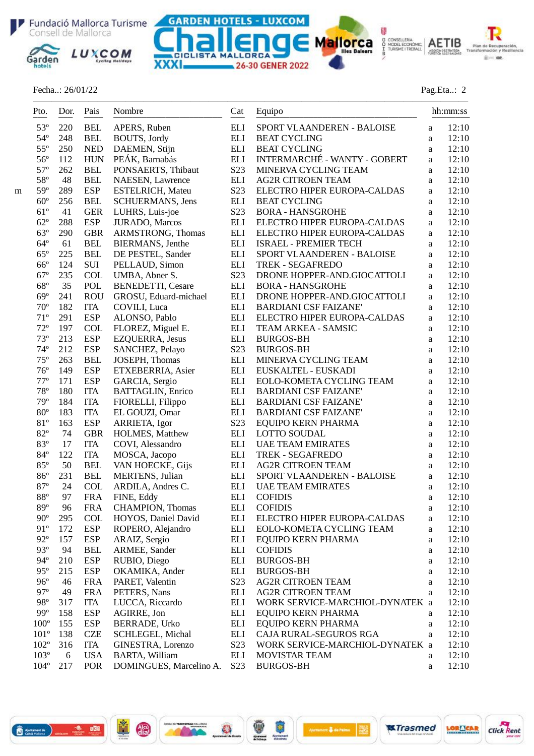Fundació Mallorca Turisme GARDEN HOTELS - LUXCOM Consell de Mallorca



### Fecha..: 26/01/22 Pag.Eta..: 2

 $\begin{picture}(180,10) \put(0,0){\vector(1,0){100}} \put(10,0){\vector(1,0){100}} \put(10,0){\vector(1,0){100}} \put(10,0){\vector(1,0){100}} \put(10,0){\vector(1,0){100}} \put(10,0){\vector(1,0){100}} \put(10,0){\vector(1,0){100}} \put(10,0){\vector(1,0){100}} \put(10,0){\vector(1,0){100}} \put(10,0){\vector(1,0){100}} \put(10,0){\vector(1,0){100}}$ 

Plan de Recuperación,<br>Insformación y Resilier

 $\ddot{\textbf{a}}=\dot{\textbf{a}}$ 

.<br>Tra

₩

Mailorca SCONSELLERIA AETIB

|   | Pto.<br>$- - -$              | Dor.<br>$---$ | Pais<br>$- - - -$        | Nombre                            | Cat                            | Equipo                                       |        | hh:mm:ss       |
|---|------------------------------|---------------|--------------------------|-----------------------------------|--------------------------------|----------------------------------------------|--------|----------------|
|   | $53^{\circ}$                 | 220           | <b>BEL</b>               | APERS, Ruben                      | <b>ELI</b>                     | SPORT VLAANDEREN - BALOISE                   | a      | 12:10          |
|   | $54^{\circ}$                 | 248           | <b>BEL</b>               | BOUTS, Jordy                      | <b>ELI</b>                     | <b>BEAT CYCLING</b>                          | a      | 12:10          |
|   | $55^{\circ}$                 | 250           | <b>NED</b>               | DAEMEN, Stijn                     | $\mathop{\rm ELI}$             | <b>BEAT CYCLING</b>                          | a      | 12:10          |
|   | $56^{\circ}$                 | 112           | <b>HUN</b>               | PEÁK, Barnabás                    | $\mathop{\rm ELI}$             | <b>INTERMARCHÉ - WANTY - GOBERT</b>          | a      | 12:10          |
|   | $57^{\circ}$                 | 262           | <b>BEL</b>               | PONSAERTS, Thibaut                | S23                            | MINERVA CYCLING TEAM                         | a      | 12:10          |
|   | 58°                          | 48            | <b>BEL</b>               | NAESEN, Lawrence                  | <b>ELI</b>                     | <b>AG2R CITROEN TEAM</b>                     | a      | 12:10          |
| m | $59^\circ$                   | 289           | <b>ESP</b>               | <b>ESTELRICH, Mateu</b>           | S23                            | ELECTRO HIPER EUROPA-CALDAS                  | a      | 12:10          |
|   | $60^{\circ}$                 | 256           | <b>BEL</b>               | SCHUERMANS, Jens                  | <b>ELI</b>                     | <b>BEAT CYCLING</b>                          | a      | 12:10          |
|   | $61^{\circ}$                 | 41            | <b>GER</b>               | LUHRS, Luis-joe                   | S23                            | <b>BORA - HANSGROHE</b>                      | a      | 12:10          |
|   | $62^{\circ}$                 | 288           | <b>ESP</b>               | JURADO, Marcos                    | $\mathop{\rm ELI}$             | ELECTRO HIPER EUROPA-CALDAS                  | a      | 12:10          |
|   | $63^\circ$                   | 290           | <b>GBR</b>               | ARMSTRONG, Thomas                 | $\mathop{\rm ELI}$             | ELECTRO HIPER EUROPA-CALDAS                  | a      | 12:10          |
|   | $64^{\circ}$                 | 61            | <b>BEL</b>               | BIERMANS, Jenthe                  | ELI                            | <b>ISRAEL - PREMIER TECH</b>                 | a      | 12:10          |
|   | $65^{\circ}$                 | 225           | <b>BEL</b>               | DE PESTEL, Sander                 | ELI                            | SPORT VLAANDEREN - BALOISE                   | a      | 12:10          |
|   | $66^{\circ}$                 | 124           | $\rm SUI$                | PELLAUD, Simon                    | <b>ELI</b>                     | TREK - SEGAFREDO                             | a      | 12:10          |
|   | $67^{\circ}$                 | 235           | COL                      | UMBA, Abner S.                    | S <sub>2</sub> 3               | DRONE HOPPER-AND.GIOCATTOLI                  | a      | 12:10          |
|   | $68^{\circ}$                 | 35            | POL                      | <b>BENEDETTI, Cesare</b>          | ELI                            | <b>BORA - HANSGROHE</b>                      | a      | 12:10          |
|   | $69^{\circ}$                 | 241           | <b>ROU</b>               | GROSU, Eduard-michael             | ELI                            | DRONE HOPPER-AND.GIOCATTOLI                  | a      | 12:10          |
|   | $70^{\circ}$                 | 182           | <b>ITA</b>               | COVILI, Luca                      | ELI                            | <b>BARDIANI CSF FAIZANE'</b>                 | a      | 12:10          |
|   | $71^{\circ}$                 | 291           | <b>ESP</b>               | ALONSO, Pablo                     | <b>ELI</b>                     | ELECTRO HIPER EUROPA-CALDAS                  | a      | 12:10          |
|   | $72^{\circ}$                 | 197           | <b>COL</b>               | FLOREZ, Miguel E.                 | <b>ELI</b>                     | TEAM ARKEA - SAMSIC                          | a      | 12:10          |
|   | $73^{\circ}$                 | 213           | <b>ESP</b>               | EZQUERRA, Jesus                   | <b>ELI</b>                     | <b>BURGOS-BH</b>                             | a      | 12:10          |
|   | $74^{\circ}$                 | 212           | <b>ESP</b>               | SANCHEZ, Pelayo                   | S <sub>23</sub>                | <b>BURGOS-BH</b>                             | a      | 12:10          |
|   | $75^{\circ}$                 | 263           | <b>BEL</b>               | JOSEPH, Thomas                    | <b>ELI</b>                     | MINERVA CYCLING TEAM                         | a      | 12:10          |
|   | $76^{\circ}$                 | 149           | <b>ESP</b>               | ETXEBERRIA, Asier                 | $\mathop{\rm ELI}$             | EUSKALTEL - EUSKADI                          | a      | 12:10          |
|   | $77^{\circ}$                 | 171           | <b>ESP</b>               | GARCIA, Sergio                    | $\mathop{\rm ELI}$             | EOLO-KOMETA CYCLING TEAM                     | a      | 12:10          |
|   | $78^{\circ}$                 | 180           | <b>ITA</b>               | <b>BATTAGLIN, Enrico</b>          | <b>ELI</b>                     | <b>BARDIANI CSF FAIZANE'</b>                 | a      | 12:10          |
|   | 79°                          | 184           | <b>ITA</b>               | FIORELLI, Filippo                 | <b>ELI</b>                     | <b>BARDIANI CSF FAIZANE'</b>                 | a      | 12:10          |
|   | $80^{\circ}$                 | 183           | <b>ITA</b>               | EL GOUZI, Omar                    | ELI                            | <b>BARDIANI CSF FAIZANE'</b>                 | a      | 12:10          |
|   | $81^{\rm o}$                 | 163           | <b>ESP</b>               | ARRIETA, Igor                     | S23                            | <b>EQUIPO KERN PHARMA</b>                    | a      | 12:10          |
|   | $82^{\circ}$                 | 74            | <b>GBR</b>               | HOLMES, Matthew                   | ELI                            | LOTTO SOUDAL                                 | a      | 12:10          |
|   | 83°                          | 17            | <b>ITA</b>               | COVI, Alessandro                  | ELI                            | <b>UAE TEAM EMIRATES</b>                     | a      | 12:10          |
|   | $84^{\circ}$                 | 122           | <b>ITA</b>               | MOSCA, Jacopo                     | <b>ELI</b>                     | <b>TREK - SEGAFREDO</b>                      | a      | 12:10          |
|   | $85^{\circ}$                 | 50            | <b>BEL</b>               | VAN HOECKE, Gijs                  | <b>ELI</b>                     | <b>AG2R CITROEN TEAM</b>                     | a      | 12:10          |
|   | $86^{\circ}$                 | 231           | <b>BEL</b>               | MERTENS, Julian                   | ELI                            | SPORT VLAANDEREN - BALOISE                   | a      | 12:10          |
|   | $87^\circ$                   | 24            | <b>COL</b>               | ARDILA, Andres C.                 | ELI                            | <b>UAE TEAM EMIRATES</b>                     | a      | 12:10          |
|   | $88^{\rm o}$                 | 97            | <b>FRA</b>               | FINE, Eddy                        | <b>ELI</b>                     | <b>COFIDIS</b>                               | a      | 12:10          |
|   | 89°                          | 96            | <b>FRA</b>               | CHAMPION, Thomas                  | <b>ELI</b>                     | <b>COFIDIS</b>                               | a      | 12:10          |
|   | $90^{\circ}$<br>91°          | 295           | <b>COL</b>               | HOYOS, Daniel David               | ELI                            | ELECTRO HIPER EUROPA-CALDAS                  | a      | 12:10          |
|   |                              | 172           | <b>ESP</b>               | ROPERO, Alejandro                 | <b>ELI</b>                     | EOLO-KOMETA CYCLING TEAM                     | a      | 12:10          |
|   | $92^{\circ}$<br>$93^{\circ}$ | 157           | <b>ESP</b>               | ARAIZ, Sergio                     | ELI                            | <b>EQUIPO KERN PHARMA</b>                    | a      | 12:10          |
|   | $94^{\circ}$                 | 94            | <b>BEL</b>               | ARMEE, Sander                     | <b>ELI</b>                     | <b>COFIDIS</b>                               | a      | 12:10          |
|   | $95^{\circ}$                 | 210           | <b>ESP</b>               | RUBIO, Diego                      | <b>ELI</b>                     | <b>BURGOS-BH</b>                             | a      | 12:10<br>12:10 |
|   | $96^{\circ}$                 | 215<br>46     | <b>ESP</b><br><b>FRA</b> | OKAMIKA, Ander<br>PARET, Valentin | <b>ELI</b><br>S <sub>2</sub> 3 | <b>BURGOS-BH</b><br><b>AG2R CITROEN TEAM</b> | a      | 12:10          |
|   | $97^\circ$                   | 49            | <b>FRA</b>               | PETERS, Nans                      | <b>ELI</b>                     | <b>AG2R CITROEN TEAM</b>                     | a      | 12:10          |
|   | $98^{\circ}$                 | 317           | <b>ITA</b>               | LUCCA, Riccardo                   | <b>ELI</b>                     | WORK SERVICE-MARCHIOL-DYNATEK a              | a      | 12:10          |
|   | $99^{\circ}$                 | 158           | <b>ESP</b>               | AGIRRE, Jon                       | ELI                            | <b>EQUIPO KERN PHARMA</b>                    |        | 12:10          |
|   | $100^{\circ}$                | 155           | <b>ESP</b>               | <b>BERRADE, Urko</b>              | ELI                            | EQUIPO KERN PHARMA                           | a      | 12:10          |
|   | $101^{\circ}$                | 138           | <b>CZE</b>               | SCHLEGEL, Michal                  | ELI                            | CAJA RURAL-SEGUROS RGA                       | a<br>a | 12:10          |
|   | $102^{\circ}$                | 316           | <b>ITA</b>               | GINESTRA, Lorenzo                 | S <sub>2</sub> 3               | WORK SERVICE-MARCHIOL-DYNATEK a              |        | 12:10          |
|   | $103^{\circ}$                | 6             | <b>USA</b>               | <b>BARTA, William</b>             | <b>ELI</b>                     | MOVISTAR TEAM                                | a      | 12:10          |
|   | $104^{\circ}$                | 217           | POR                      | DOMINGUES, Marcelino A.           | S <sub>2</sub> 3               | <b>BURGOS-BH</b>                             | a      | 12:10          |
|   |                              |               |                          |                                   |                                |                                              |        |                |

Ŵ

 $\frac{1}{\sqrt{2}}$ 

 $\mathbb{C}$ 

偶

**双Trasmed** 

LORACAR

**Click Rent** 

**CICLISTA MALLORCA** 

26-30 GENER 2022

XXXI.

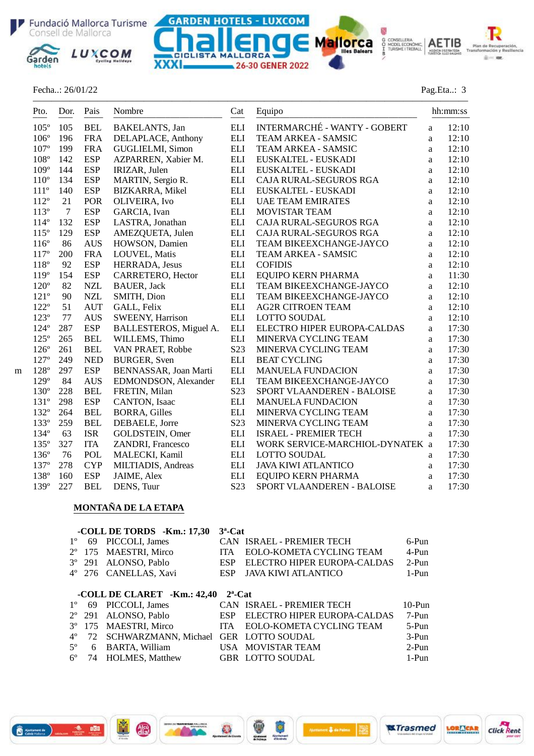





#### Fecha..: 26/01/22 Pag.Eta..: 3

| Pto.<br>$- - -$ | Dor.<br>$- - -$ | Pais<br>$- - - -$ | Nombre                  | Cat                | Equipo                              |              | hh:mm:ss |
|-----------------|-----------------|-------------------|-------------------------|--------------------|-------------------------------------|--------------|----------|
| $105^\circ$     | 105             | <b>BEL</b>        | BAKELANTS, Jan          | <b>ELI</b>         | <b>INTERMARCHÉ - WANTY - GOBERT</b> | a            | 12:10    |
| $106^{\circ}$   | 196             | <b>FRA</b>        | DELAPLACE, Anthony      | <b>ELI</b>         | TEAM ARKEA - SAMSIC                 | a            | 12:10    |
| $107^{\circ}$   | 199             | <b>FRA</b>        | GUGLIELMI, Simon        | <b>ELI</b>         | TEAM ARKEA - SAMSIC                 | a            | 12:10    |
| $108^\circ$     | 142             | <b>ESP</b>        | AZPARREN, Xabier M.     | <b>ELI</b>         | EUSKALTEL - EUSKADI                 | a            | 12:10    |
| $109^\circ$     | 144             | <b>ESP</b>        | IRIZAR, Julen           | <b>ELI</b>         | EUSKALTEL - EUSKADI                 | a            | 12:10    |
| $110^{\circ}$   | 134             | <b>ESP</b>        | MARTIN, Sergio R.       | ELI                | CAJA RURAL-SEGUROS RGA              | a            | 12:10    |
| $111^{\circ}$   | 140             | <b>ESP</b>        | <b>BIZKARRA, Mikel</b>  | <b>ELI</b>         | EUSKALTEL - EUSKADI                 | a            | 12:10    |
| $112^{\circ}$   | 21              | <b>POR</b>        | OLIVEIRA, Ivo           | <b>ELI</b>         | <b>UAE TEAM EMIRATES</b>            | a            | 12:10    |
| $113^\circ$     | $\tau$          | <b>ESP</b>        | GARCIA, Ivan            | <b>ELI</b>         | <b>MOVISTAR TEAM</b>                | a            | 12:10    |
| $114^{\circ}$   | 132             | <b>ESP</b>        | LASTRA, Jonathan        | <b>ELI</b>         | CAJA RURAL-SEGUROS RGA              | $\mathbf{a}$ | 12:10    |
| $115^{\circ}$   | 129             | <b>ESP</b>        | AMEZQUETA, Julen        | $\mathop{\rm ELI}$ | CAJA RURAL-SEGUROS RGA              | $\mathbf{a}$ | 12:10    |
| $116^{\circ}$   | 86              | <b>AUS</b>        | HOWSON, Damien          | <b>ELI</b>         | TEAM BIKEEXCHANGE-JAYCO             | $\mathbf{a}$ | 12:10    |
| $117^{\circ}$   | 200             | <b>FRA</b>        | LOUVEL, Matis           | <b>ELI</b>         | TEAM ARKEA - SAMSIC                 | $\mathbf{a}$ | 12:10    |
| 118°            | 92              | <b>ESP</b>        | HERRADA, Jesus          | <b>ELI</b>         | <b>COFIDIS</b>                      | a            | 12:10    |
| 119°            | 154             | <b>ESP</b>        | CARRETERO, Hector       | <b>ELI</b>         | <b>EQUIPO KERN PHARMA</b>           | a            | 11:30    |
| $120^{\circ}$   | 82              | $\sf NZL$         | <b>BAUER</b> , Jack     | <b>ELI</b>         | TEAM BIKEEXCHANGE-JAYCO             | $\mathbf{a}$ | 12:10    |
| $121^{\circ}$   | 90              | <b>NZL</b>        | SMITH, Dion             | <b>ELI</b>         | TEAM BIKEEXCHANGE-JAYCO             | a            | 12:10    |
| $122^{\circ}$   | 51              | <b>AUT</b>        | GALL, Felix             | <b>ELI</b>         | <b>AG2R CITROEN TEAM</b>            | $\mathbf{a}$ | 12:10    |
| $123^{\circ}$   | 77              | <b>AUS</b>        | <b>SWEENY, Harrison</b> | <b>ELI</b>         | <b>LOTTO SOUDAL</b>                 | a            | 12:10    |
| $124^{\circ}$   | 287             | <b>ESP</b>        | BALLESTEROS, Miguel A.  | <b>ELI</b>         | ELECTRO HIPER EUROPA-CALDAS         | a            | 17:30    |
| $125^\circ$     | 265             | <b>BEL</b>        | WILLEMS, Thimo          | <b>ELI</b>         | MINERVA CYCLING TEAM                | a            | 17:30    |
| $126^\circ$     | 261             | <b>BEL</b>        | VAN PRAET, Robbe        | S23                | MINERVA CYCLING TEAM                | a            | 17:30    |
| $127^{\circ}$   | 249             | <b>NED</b>        | <b>BURGER, Sven</b>     | <b>ELI</b>         | <b>BEAT CYCLING</b>                 | $\mathbf{a}$ | 17:30    |
| 128°            | 297             | <b>ESP</b>        | BENNASSAR, Joan Marti   | <b>ELI</b>         | <b>MANUELA FUNDACION</b>            | a            | 17:30    |
| $129^\circ$     | 84              | <b>AUS</b>        | EDMONDSON, Alexander    | <b>ELI</b>         | TEAM BIKEEXCHANGE-JAYCO             | a            | 17:30    |
| $130^\circ$     | 228             | <b>BEL</b>        | FRETIN, Milan           | S <sub>2</sub> 3   | SPORT VLAANDEREN - BALOISE          | $\mathbf{a}$ | 17:30    |
| $131^{\circ}$   | 298             | <b>ESP</b>        | CANTON, Isaac           | $\mathop{\rm ELI}$ | <b>MANUELA FUNDACION</b>            | $\mathbf{a}$ | 17:30    |
| $132^{\circ}$   | 264             | <b>BEL</b>        | <b>BORRA, Gilles</b>    | <b>ELI</b>         | MINERVA CYCLING TEAM                | a            | 17:30    |
| 133°            | 259             | <b>BEL</b>        | DEBAELE, Jorre          | S23                | MINERVA CYCLING TEAM                | $\mathbf{a}$ | 17:30    |
| 134°            | 63              | <b>ISR</b>        | GOLDSTEIN, Omer         | $\mathop{\rm ELI}$ | <b>ISRAEL - PREMIER TECH</b>        | $\mathbf{a}$ | 17:30    |
| $135^{\circ}$   | 327             | <b>ITA</b>        | ZANDRI, Francesco       | <b>ELI</b>         | WORK SERVICE-MARCHIOL-DYNATEK a     |              | 17:30    |
| $136^\circ$     | 76              | <b>POL</b>        | MALECKI, Kamil          | <b>ELI</b>         | <b>LOTTO SOUDAL</b>                 | a            | 17:30    |
| $137^\circ$     | 278             | <b>CYP</b>        | MILTIADIS, Andreas      | <b>ELI</b>         | <b>JAVA KIWI ATLANTICO</b>          | a            | 17:30    |
| 138°            | 160             | <b>ESP</b>        | JAIME, Alex             | <b>ELI</b>         | EQUIPO KERN PHARMA                  | $\mathbf{a}$ | 17:30    |
| 139°            | 227             | <b>BEL</b>        | DENS, Tuur              | S23                | SPORT VLAANDEREN - BALOISE          | a            | 17:30    |

## **MONTAÑA DE LA ETAPA**

aku<br>dia

|             |                 | -COLL DE TORDS -Km.: 17,30  | $3^a$ -Cat |                             |          |
|-------------|-----------------|-----------------------------|------------|-----------------------------|----------|
| $1^{\circ}$ | 69              | PICCOLI, James              |            | CAN ISRAEL - PREMIER TECH   | 6-Pun    |
| $2^{\circ}$ | 175             | <b>MAESTRI, Mirco</b>       | <b>ITA</b> | EOLO-KOMETA CYCLING TEAM    | 4-Pun    |
|             |                 | 3° 291 ALONSO, Pablo        | <b>ESP</b> | ELECTRO HIPER EUROPA-CALDAS | $2-Pun$  |
|             |                 | 4° 276 CANELLAS, Xavi       | <b>ESP</b> | JAVA KIWI ATLANTICO         | 1-Pun    |
|             |                 |                             |            |                             |          |
|             |                 | -COLL DE CLARET -Km.: 42,40 | $2^a$ -Cat |                             |          |
| $1^{\circ}$ | 69              | PICCOLI, James              |            | CAN ISRAEL - PREMIER TECH   | $10-Pun$ |
|             | $2^{\circ}$ 291 | ALONSO, Pablo               | <b>ESP</b> | ELECTRO HIPER EUROPA-CALDAS | $7-P$ un |
| $3^{\circ}$ |                 | 175 MAESTRI, Mirco          | <b>ITA</b> | EOLO-KOMETA CYCLING TEAM    | $5-Pun$  |
| $4^{\circ}$ | 72              | SCHWARZMANN, Michael        |            | <b>GER LOTTO SOUDAL</b>     | $3-Pun$  |
| $5^\circ$   | 6               | <b>BARTA, William</b>       |            | USA MOVISTAR TEAM           | $2-Pun$  |
| $6^{\circ}$ | 74              | <b>HOLMES, Matthew</b>      |            | <b>GBR LOTTO SOUDAL</b>     | $1-P$ un |

**Barnet**)



**双Trasmed**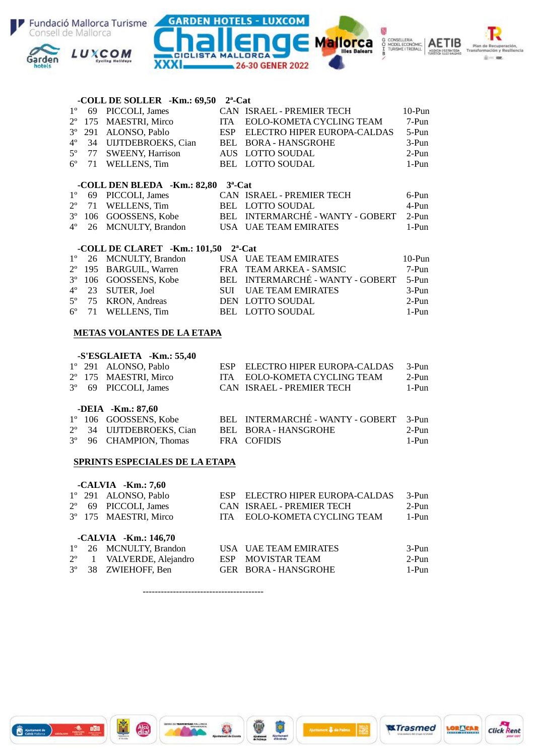

|             |                                   | -COLL DE SOLLER -Km.: 69,50                      | $2^a$ -Cat |                                                     |          |  |  |  |
|-------------|-----------------------------------|--------------------------------------------------|------------|-----------------------------------------------------|----------|--|--|--|
| $1^{\circ}$ | 69                                | PICCOLI, James                                   |            | CAN ISRAEL - PREMIER TECH                           | $10-Pun$ |  |  |  |
| $2^{\circ}$ | 175                               | MAESTRI, Mirco<br>ITA                            |            | EOLO-KOMETA CYCLING TEAM                            | 7-Pun    |  |  |  |
| $3^{\circ}$ | 291                               | ALONSO, Pablo                                    |            | ESP ELECTRO HIPER EUROPA-CALDAS                     | 5-Pun    |  |  |  |
| $4^{\circ}$ |                                   | 34 UIJTDEBROEKS, Cian                            |            | BEL BORA - HANSGROHE                                | $3-Pun$  |  |  |  |
| $5^{\circ}$ | 77                                | <b>SWEENY, Harrison</b>                          |            | AUS LOTTO SOUDAL                                    | $2-Pun$  |  |  |  |
| $6^{\circ}$ | 71                                | WELLENS, Tim                                     |            | BEL LOTTO SOUDAL                                    | $1-Pun$  |  |  |  |
|             |                                   | -COLL DEN BLEDA -Km.: 82,80 3 <sup>a</sup> -Cat  |            |                                                     |          |  |  |  |
| $1^{\circ}$ |                                   | 69 PICCOLI, James                                |            | CAN ISRAEL - PREMIER TECH                           | 6-Pun    |  |  |  |
| $2^{\circ}$ | 71                                | WELLENS, Tim                                     |            | BEL LOTTO SOUDAL                                    | 4-Pun    |  |  |  |
| $3^{\circ}$ |                                   |                                                  |            | 106 GOOSSENS, Kobe BEL INTERMARCHÉ - WANTY - GOBERT | $2-Pun$  |  |  |  |
| $4^{\circ}$ |                                   | 26 MCNULTY, Brandon                              |            | USA UAE TEAM EMIRATES                               | 1-Pun    |  |  |  |
|             |                                   | -COLL DE CLARET -Km.: 101,50 2 <sup>a</sup> -Cat |            |                                                     |          |  |  |  |
| $1^{\circ}$ |                                   | 26 MCNULTY, Brandon                              |            | USA UAE TEAM EMIRATES                               | $10-Pun$ |  |  |  |
| $2^{\circ}$ |                                   | 195 BARGUIL, Warren                              |            | FRA TEAM ARKEA - SAMSIC                             | 7-Pun    |  |  |  |
| $3^{\circ}$ |                                   |                                                  |            | 106 GOOSSENS, Kobe BEL INTERMARCHÉ - WANTY - GOBERT | 5-Pun    |  |  |  |
| $4^{\circ}$ |                                   | 23 SUTER, Joel                                   |            | SUI UAE TEAM EMIRATES                               | 3-Pun    |  |  |  |
| $5^{\circ}$ | 75                                | <b>KRON</b> , Andreas                            |            | DEN LOTTO SOUDAL                                    | $2-Pun$  |  |  |  |
| $6^{\circ}$ | 71                                | WELLENS, Tim                                     |            | BEL LOTTO SOUDAL                                    | 1-Pun    |  |  |  |
|             | <b>METAS VOLANTES DE LA ETAPA</b> |                                                  |            |                                                     |          |  |  |  |
|             | $CFCCTATETA$ $V_m$ , $EIA$        |                                                  |            |                                                     |          |  |  |  |

### **-S'ESGLAIETA -Km.: 55,40**<br>1° 291 ALONSO, Pablo 1º 291 ALONSO, Pablo ESP ELECTRO HIPER EUROPA-CALDAS 3-Pun<br>2º 175 MAESTRI, Mirco ITA EOLO-KOMETA CYCLING TEAM 2-Pun 2º 175 MAESTRI, Mirco ITA EOLO-KOMETA CYCLING TEAM 2-Pun<br>3º 69 PICCOLI, James CAN ISRAEL - PREMIER TECH 1-Pun CAN ISRAEL - PREMIER TECH **-DEIA -Km.: 87,60**<br>1° 106 GOOSSENS, Kobe 1º 106 GOOSSENS, Kobe BEL INTERMARCHÉ - WANTY - GOBERT 3-Pun<br>
2<sup>o</sup> 34 UIJTDEBROEKS, Cian BEL BORA - HANSGROHE 2-Pun 34 UIJTDEBROEKS, Cian BEL BORA - HANSGROHE 3º 96 CHAMPION, Thomas FRA COFIDIS 1-Pun

#### **SPRINTS ESPECIALES DE LA ETAPA**

6 2000 )

|             | $-CALVIA$ $-Km.: 7,60$ |            |                             |          |
|-------------|------------------------|------------|-----------------------------|----------|
|             | 1° 291 ALONSO, Pablo   | ESP        | ELECTRO HIPER EUROPA-CALDAS | $3-Pun$  |
| $2^{\circ}$ | 69 PICCOLI, James      |            | CAN ISRAEL - PREMIER TECH   | $2-Pun$  |
|             | 3° 175 MAESTRI, Mirco  | <b>ITA</b> | EOLO-KOMETA CYCLING TEAM    | $1-Pun$  |
|             | -CALVIA - Km.: 146,70  |            |                             |          |
| $1^{\circ}$ | 26 MCNULTY, Brandon    |            | USA UAE TEAM EMIRATES       | $3-Pun$  |
| $2^{\circ}$ | 1 VALVERDE, Alejandro  | ESP        | MOVISTAR TEAM               | $2-Pun$  |
| $3^{\circ}$ | 38 ZWIEHOFF, Ben       |            | GER BORA - HANSGROHE        | $1-P$ un |

**双Trasmed** 

**LORE CAR** 

**Click Rent** 

----------------------------------------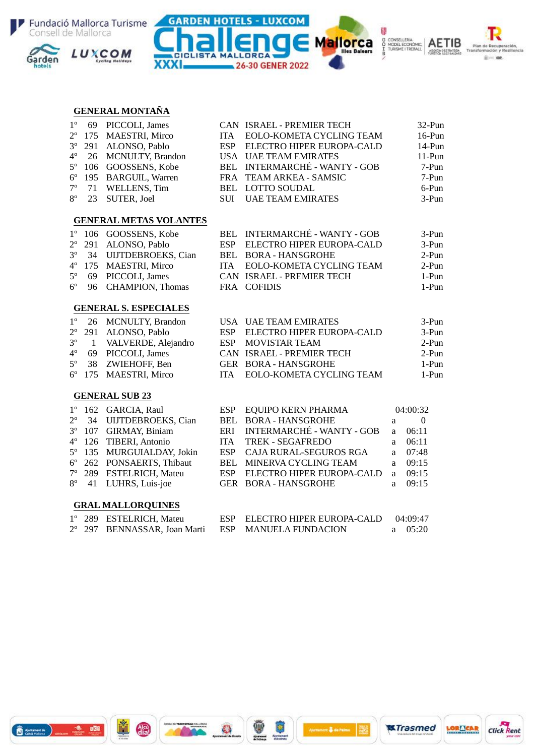







#### **GENERAL MONTAÑA**

| $1^{\circ}$ | 69                           | PICCOLI, James                |            | CAN ISRAEL - PREMIER TECH        |   | $32-Pun$         |  |  |  |
|-------------|------------------------------|-------------------------------|------------|----------------------------------|---|------------------|--|--|--|
| $2^{\circ}$ | 175                          | MAESTRI, Mirco                | <b>ITA</b> | EOLO-KOMETA CYCLING TEAM         |   | $16-Pun$         |  |  |  |
| $3^{\circ}$ | 291                          | ALONSO, Pablo                 | <b>ESP</b> | ELECTRO HIPER EUROPA-CALD        |   | 14-Pun           |  |  |  |
| $4^{\circ}$ | 26                           | <b>MCNULTY, Brandon</b>       | <b>USA</b> | <b>UAE TEAM EMIRATES</b>         |   | $11-Pun$         |  |  |  |
| $5^{\circ}$ | 106                          | GOOSSENS, Kobe                | <b>BEL</b> | <b>INTERMARCHÉ - WANTY - GOB</b> |   | 7-Pun            |  |  |  |
| $6^{\circ}$ | 195                          | <b>BARGUIL, Warren</b>        | <b>FRA</b> | TEAM ARKEA - SAMSIC              |   | 7-Pun            |  |  |  |
| $7^{\circ}$ | 71                           | WELLENS, Tim                  | BEL        | <b>LOTTO SOUDAL</b>              |   | 6-Pun            |  |  |  |
| $8^{\circ}$ | 23                           | SUTER, Joel                   | <b>SUI</b> | <b>UAE TEAM EMIRATES</b>         |   | $3-Pun$          |  |  |  |
|             |                              | <b>GENERAL METAS VOLANTES</b> |            |                                  |   |                  |  |  |  |
| $1^{\circ}$ | 106                          | GOOSSENS, Kobe                | <b>BEL</b> | <b>INTERMARCHÉ - WANTY - GOB</b> |   | 3-Pun            |  |  |  |
| $2^{\circ}$ | 291                          | ALONSO, Pablo                 | <b>ESP</b> | ELECTRO HIPER EUROPA-CALD        |   | $3-Pun$          |  |  |  |
| $3^{\circ}$ | 34                           | UIJTDEBROEKS, Cian            | <b>BEL</b> | <b>BORA - HANSGROHE</b>          |   | $2-Pun$          |  |  |  |
| $4^{\circ}$ | 175                          | MAESTRI, Mirco                | <b>ITA</b> | EOLO-KOMETA CYCLING TEAM         |   | $2-Pun$          |  |  |  |
| $5^{\circ}$ | 69                           | PICCOLI, James                |            | CAN ISRAEL - PREMIER TECH        |   | $1-Pun$          |  |  |  |
| $6^{\circ}$ | 96                           | CHAMPION, Thomas              |            | FRA COFIDIS                      |   | 1-Pun            |  |  |  |
|             | <b>GENERAL S. ESPECIALES</b> |                               |            |                                  |   |                  |  |  |  |
| $1^{\circ}$ | 26                           | <b>MCNULTY, Brandon</b>       |            | USA UAE TEAM EMIRATES            |   | $3-Pun$          |  |  |  |
| $2^{\circ}$ | 291                          | ALONSO, Pablo                 | <b>ESP</b> | ELECTRO HIPER EUROPA-CALD        |   | $3-Pun$          |  |  |  |
| $3^{\circ}$ | $\mathbf{1}$                 | VALVERDE, Alejandro           | <b>ESP</b> | MOVISTAR TEAM                    |   | $2-Pun$          |  |  |  |
| $4^{\circ}$ | 69                           | PICCOLI, James                |            | CAN ISRAEL - PREMIER TECH        |   | $2-Pun$          |  |  |  |
| $5^{\circ}$ | 38                           | ZWIEHOFF, Ben                 |            | GER BORA - HANSGROHE             |   | $1-Pun$          |  |  |  |
| $6^{\circ}$ | 175                          | MAESTRI, Mirco                | <b>ITA</b> | EOLO-KOMETA CYCLING TEAM         |   | $1-Pun$          |  |  |  |
|             |                              | <b>GENERAL SUB 23</b>         |            |                                  |   |                  |  |  |  |
| $1^{\circ}$ | 162                          | GARCIA, Raul                  | <b>ESP</b> | EQUIPO KERN PHARMA               |   | 04:00:32         |  |  |  |
| $2^{\circ}$ | 34                           | UIJTDEBROEKS, Cian            | <b>BEL</b> | <b>BORA - HANSGROHE</b>          | a | $\boldsymbol{0}$ |  |  |  |
| $3^{\circ}$ | 107                          | GIRMAY, Biniam                | ERI        | <b>INTERMARCHÉ - WANTY - GOB</b> | a | 06:11            |  |  |  |
| $4^{\circ}$ | 126                          | TIBERI, Antonio               | <b>ITA</b> | <b>TREK - SEGAFREDO</b>          | a | 06:11            |  |  |  |
| $5^{\circ}$ | 135                          | MURGUIALDAY, Jokin            | <b>ESP</b> | CAJA RURAL-SEGUROS RGA           | a | 07:48            |  |  |  |
| $6^{\rm o}$ | 262                          | PONSAERTS, Thibaut            | <b>BEL</b> | MINERVA CYCLING TEAM             | a | 09:15            |  |  |  |
| $7^{\circ}$ | 289                          | <b>ESTELRICH, Mateu</b>       | <b>ESP</b> | ELECTRO HIPER EUROPA-CALD        | a | 09:15            |  |  |  |
| $8^{\circ}$ | 41                           | LUHRS, Luis-joe               | <b>GER</b> | <b>BORA - HANSGROHE</b>          | a | 09:15            |  |  |  |
|             |                              | <b>GRAL MALLORQUINES</b>      |            |                                  |   |                  |  |  |  |
| $1^{\circ}$ |                              | 289 ESTELRICH, Mateu          | <b>ESP</b> | ELECTRO HIPER EUROPA-CALD        |   | 04:09:47         |  |  |  |
| $2^{\circ}$ |                              | 297 BENNASSAR, Joan Marti     | <b>ESP</b> | <b>MANUELA FUNDACION</b>         | a | 05:20            |  |  |  |
|             |                              |                               |            |                                  |   |                  |  |  |  |

 $\frac{1}{2}$ 

sent & de Palma

 $\mathbf{O}$ 



ň

 $\frac{d^{(n)}}{d^{(n)}}$ 

3888.1478